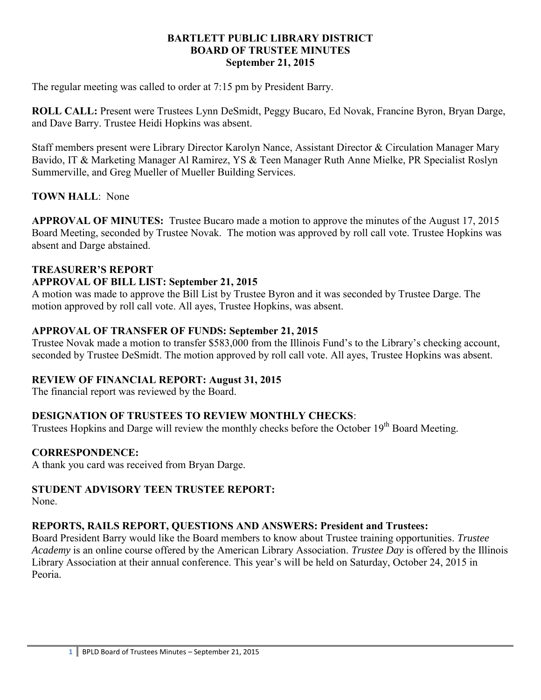#### **BARTLETT PUBLIC LIBRARY DISTRICT BOARD OF TRUSTEE MINUTES September 21, 2015**

The regular meeting was called to order at 7:15 pm by President Barry.

**ROLL CALL:** Present were Trustees Lynn DeSmidt, Peggy Bucaro, Ed Novak, Francine Byron, Bryan Darge, and Dave Barry. Trustee Heidi Hopkins was absent.

Staff members present were Library Director Karolyn Nance, Assistant Director & Circulation Manager Mary Bavido, IT & Marketing Manager Al Ramirez, YS & Teen Manager Ruth Anne Mielke, PR Specialist Roslyn Summerville, and Greg Mueller of Mueller Building Services.

## **TOWN HALL**: None

**APPROVAL OF MINUTES:** Trustee Bucaro made a motion to approve the minutes of the August 17, 2015 Board Meeting, seconded by Trustee Novak. The motion was approved by roll call vote. Trustee Hopkins was absent and Darge abstained.

#### **TREASURER'S REPORT**

#### **APPROVAL OF BILL LIST: September 21, 2015**

A motion was made to approve the Bill List by Trustee Byron and it was seconded by Trustee Darge. The motion approved by roll call vote. All ayes, Trustee Hopkins, was absent.

### **APPROVAL OF TRANSFER OF FUNDS: September 21, 2015**

Trustee Novak made a motion to transfer \$583,000 from the Illinois Fund's to the Library's checking account, seconded by Trustee DeSmidt. The motion approved by roll call vote. All ayes, Trustee Hopkins was absent.

#### **REVIEW OF FINANCIAL REPORT: August 31, 2015**

The financial report was reviewed by the Board.

# **DESIGNATION OF TRUSTEES TO REVIEW MONTHLY CHECKS**:

Trustees Hopkins and Darge will review the monthly checks before the October 19<sup>th</sup> Board Meeting.

#### **CORRESPONDENCE:**

A thank you card was received from Bryan Darge.

#### **STUDENT ADVISORY TEEN TRUSTEE REPORT:**

None.

# **REPORTS, RAILS REPORT, QUESTIONS AND ANSWERS: President and Trustees:**

Board President Barry would like the Board members to know about Trustee training opportunities. *Trustee Academy* is an online course offered by the American Library Association. *Trustee Day* is offered by the Illinois Library Association at their annual conference. This year's will be held on Saturday, October 24, 2015 in Peoria.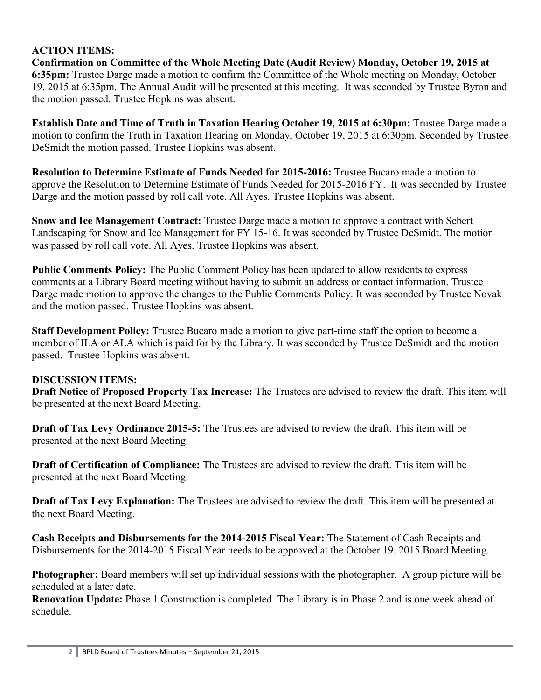# **ACTION ITEMS:**

**Confirmation on Committee of the Whole Meeting Date (Audit Review) Monday, October 19, 2015 at 6:35pm:** Trustee Darge made a motion to confirm the Committee of the Whole meeting on Monday, October 19, 2015 at 6:35pm. The Annual Audit will be presented at this meeting. It was seconded by Trustee Byron and the motion passed. Trustee Hopkins was absent.

**Establish Date and Time of Truth in Taxation Hearing October 19, 2015 at 6:30pm:** Trustee Darge made a motion to confirm the Truth in Taxation Hearing on Monday, October 19, 2015 at 6:30pm. Seconded by Trustee DeSmidt the motion passed. Trustee Hopkins was absent.

**Resolution to Determine Estimate of Funds Needed for 2015-2016:** Trustee Bucaro made a motion to approve the Resolution to Determine Estimate of Funds Needed for 2015-2016 FY. It was seconded by Trustee Darge and the motion passed by roll call vote. All Ayes. Trustee Hopkins was absent.

**Snow and Ice Management Contract:** Trustee Darge made a motion to approve a contract with Sebert Landscaping for Snow and Ice Management for FY 15-16. It was seconded by Trustee DeSmidt. The motion was passed by roll call vote. All Ayes. Trustee Hopkins was absent.

**Public Comments Policy:** The Public Comment Policy has been updated to allow residents to express comments at a Library Board meeting without having to submit an address or contact information. Trustee Darge made motion to approve the changes to the Public Comments Policy. It was seconded by Trustee Novak and the motion passed. Trustee Hopkins was absent.

**Staff Development Policy:** Trustee Bucaro made a motion to give part-time staff the option to become a member of ILA or ALA which is paid for by the Library. It was seconded by Trustee DeSmidt and the motion passed. Trustee Hopkins was absent.

# **DISCUSSION ITEMS:**

**Draft Notice of Proposed Property Tax Increase:** The Trustees are advised to review the draft. This item will be presented at the next Board Meeting.

**Draft of Tax Levy Ordinance 2015-5:** The Trustees are advised to review the draft. This item will be presented at the next Board Meeting.

**Draft of Certification of Compliance:** The Trustees are advised to review the draft. This item will be presented at the next Board Meeting.

**Draft of Tax Levy Explanation:** The Trustees are advised to review the draft. This item will be presented at the next Board Meeting.

**Cash Receipts and Disbursements for the 2014-2015 Fiscal Year:** The Statement of Cash Receipts and Disbursements for the 2014-2015 Fiscal Year needs to be approved at the October 19, 2015 Board Meeting.

**Photographer:** Board members will set up individual sessions with the photographer. A group picture will be scheduled at a later date.

**Renovation Update:** Phase 1 Construction is completed. The Library is in Phase 2 and is one week ahead of schedule.